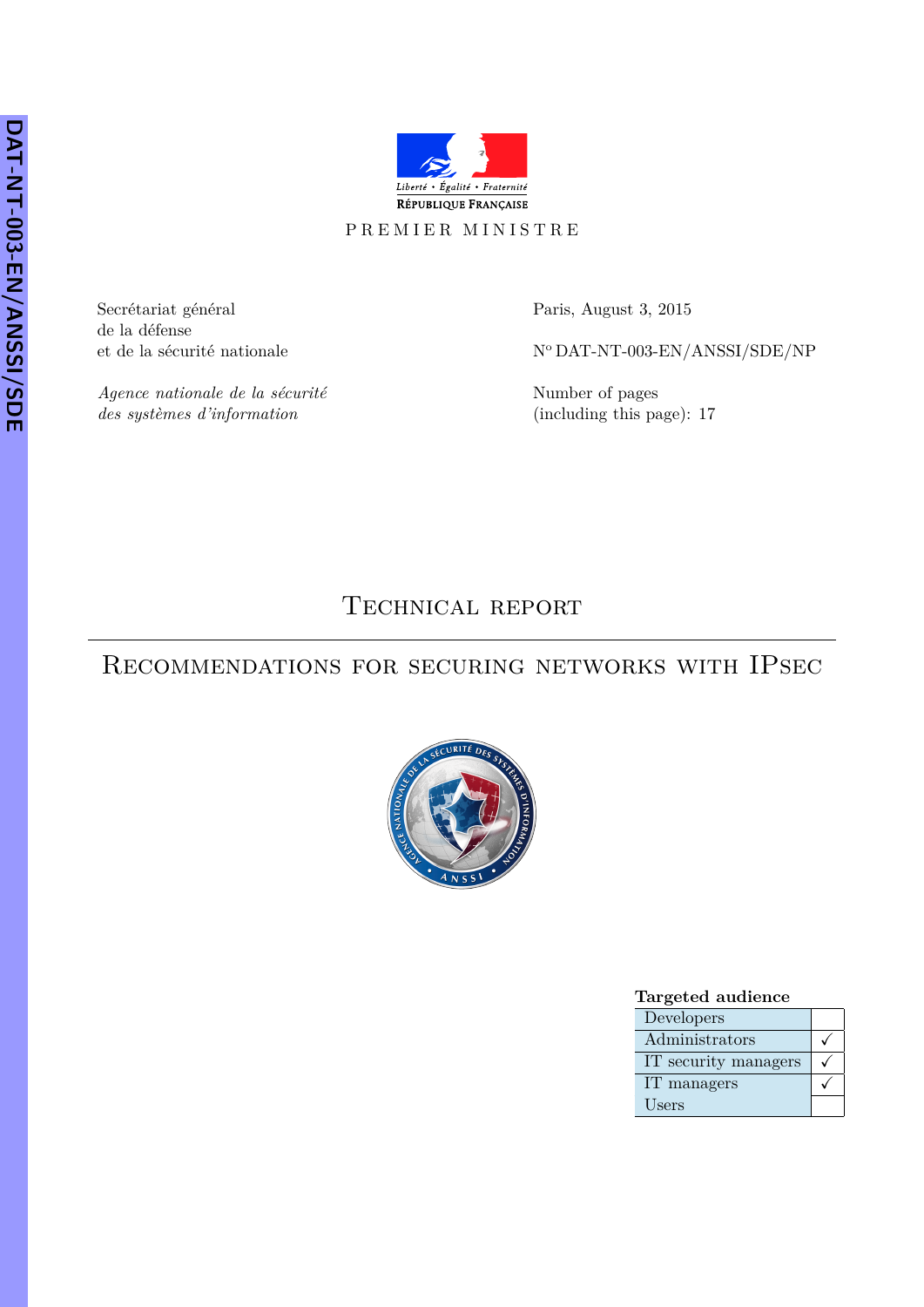

## PREMIER MINISTRE

Secrétariat général Paris, August 3, 2015 de la défense

*Agence nationale de la sécurité* Number of pages *des systèmes d'information* (including this page): 17

et de la sécurité nationale  $$N^{\rm o}\,{\rm DAT\text{-}NT-003\text{-}EN/ANSSI/SDE/NP}$ 

TECHNICAL REPORT

# Recommendations for securing networks with IPsec



### **Targeted audience**

| Developers           |  |
|----------------------|--|
| Administrators       |  |
| IT security managers |  |
| IT managers          |  |
| Users                |  |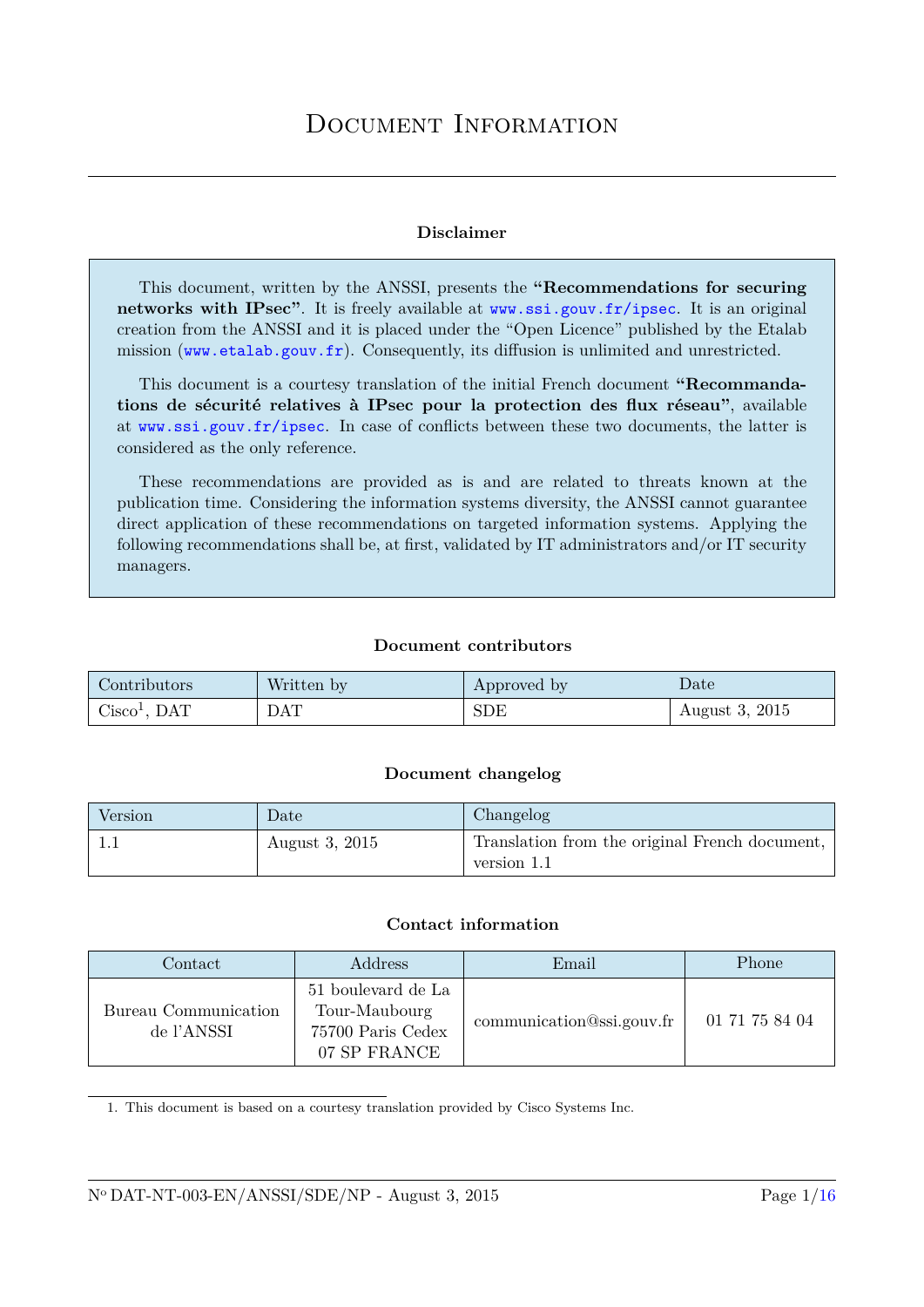## **Disclaimer**

This document, written by the ANSSI, presents the **"Recommendations for securing networks with IPsec"**. It is freely available at [www.ssi.gouv.fr/ipsec](http://www.ssi.gouv.fr/ipsec). It is an original creation from the ANSSI and it is placed under the "Open Licence" published by the Etalab mission (<www.etalab.gouv.fr>). Consequently, its diffusion is unlimited and unrestricted.

This document is a courtesy translation of the initial French document **"Recommandations de sécurité relatives à IPsec pour la protection des flux réseau"**, available at [www.ssi.gouv.fr/ipsec](http://www.ssi.gouv.fr/ipsec). In case of conflicts between these two documents, the latter is considered as the only reference.

These recommendations are provided as is and are related to threats known at the publication time. Considering the information systems diversity, the ANSSI cannot guarantee direct application of these recommendations on targeted information systems. Applying the following recommendations shall be, at first, validated by IT administrators and/or IT security managers.

## **Document contributors**

| Contributors   | Written by | Approved by | $\mathbf{Date}^{\prime}$ |
|----------------|------------|-------------|--------------------------|
| $Cisco1$ , DAT | <b>DAT</b> | <b>SDE</b>  | August 3, 2015           |

## **Document changelog**

| Version             | $\Delta$ Date  | Changelog                                      |
|---------------------|----------------|------------------------------------------------|
| $\perp \cdot \perp$ | August 3, 2015 | Translation from the original French document, |
|                     |                | version 1.1                                    |

## **Contact information**

| $\rm Contact$                      | Address                                                                  | Email                     | Phone          |
|------------------------------------|--------------------------------------------------------------------------|---------------------------|----------------|
| Bureau Communication<br>de l'ANSSI | 51 boulevard de La<br>Tour-Maubourg<br>75700 Paris Cedex<br>07 SP FRANCE | communication@ssi.gouv.fr | 01 71 75 84 04 |

1. This document is based on a courtesy translation provided by Cisco Systems Inc.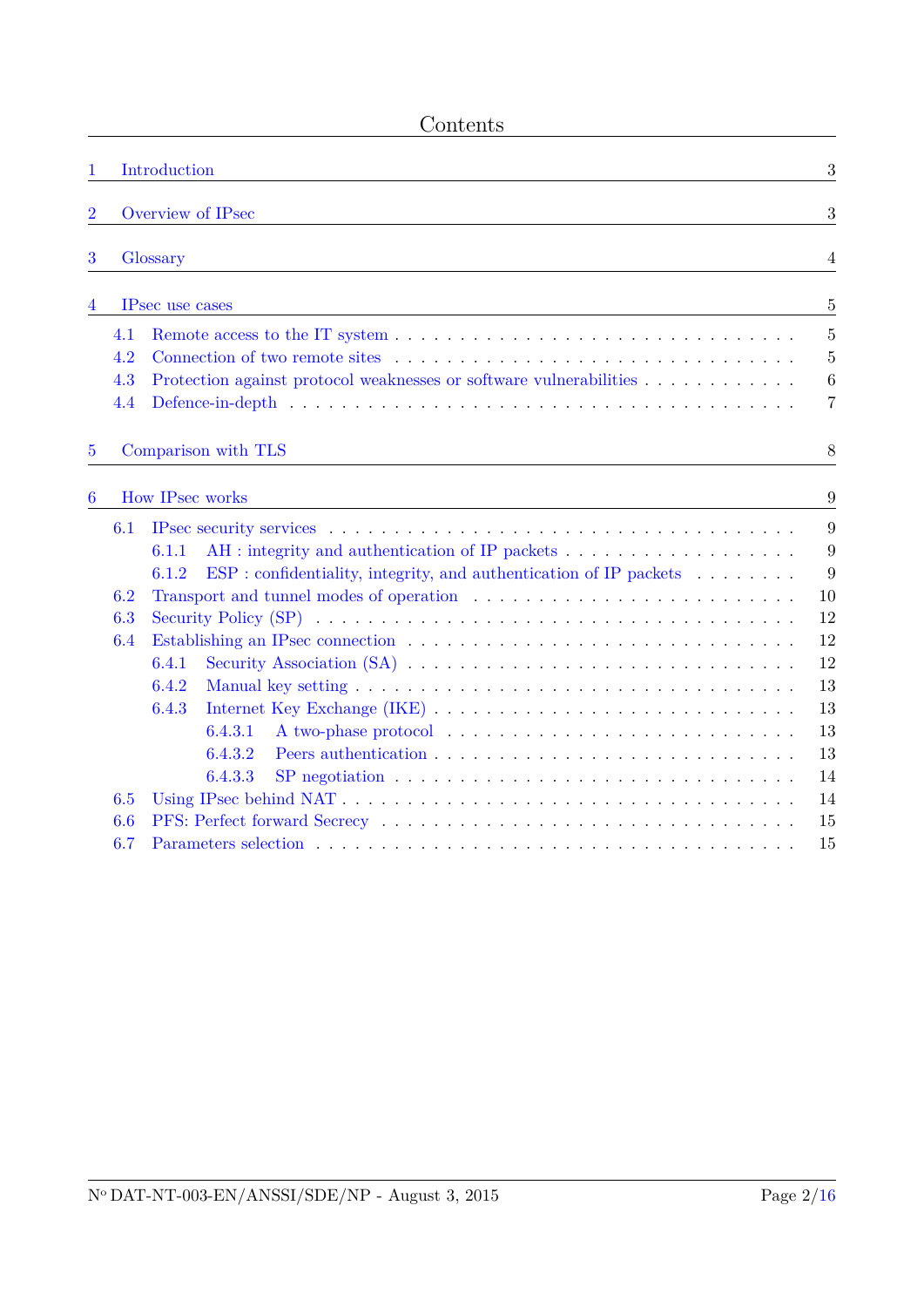| <b>Sontents</b> |
|-----------------|
|-----------------|

| 1              |     | Introduction                                                                                                        | 3                |
|----------------|-----|---------------------------------------------------------------------------------------------------------------------|------------------|
|                |     |                                                                                                                     |                  |
| $\overline{2}$ |     | Overview of IPsec                                                                                                   | 3                |
| 3              |     | Glossary                                                                                                            | $\overline{4}$   |
|                |     |                                                                                                                     |                  |
| 4              |     | IPsec use cases                                                                                                     | $\overline{5}$   |
|                | 4.1 |                                                                                                                     | 5                |
|                | 4.2 |                                                                                                                     | $\overline{5}$   |
|                | 4.3 | Protection against protocol weaknesses or software vulnerabilities                                                  | $\boldsymbol{6}$ |
|                | 4.4 |                                                                                                                     | 7                |
| $\overline{5}$ |     | Comparison with TLS                                                                                                 | 8                |
| 6              |     | How IPsec works                                                                                                     | 9                |
|                | 6.1 |                                                                                                                     | 9                |
|                |     | 6.1.1                                                                                                               | 9                |
|                |     | ESP: confidentiality, integrity, and authentication of IP packets<br>6.1.2                                          | 9                |
|                | 6.2 |                                                                                                                     | 10               |
|                | 6.3 |                                                                                                                     | 12               |
|                | 6.4 |                                                                                                                     | 12               |
|                |     | 6.4.1                                                                                                               | 12               |
|                |     | 6.4.2                                                                                                               | 13               |
|                |     | 6.4.3                                                                                                               | 13               |
|                |     | 6.4.3.1                                                                                                             | 13               |
|                |     | 6.4.3.2<br>SP negotiation $\ldots \ldots \ldots \ldots \ldots \ldots \ldots \ldots \ldots \ldots \ldots$<br>6.4.3.3 | 13<br>14         |
|                | 6.5 |                                                                                                                     | 14               |
|                | 6.6 |                                                                                                                     | 15               |
|                | 6.7 |                                                                                                                     | 15               |
|                |     |                                                                                                                     |                  |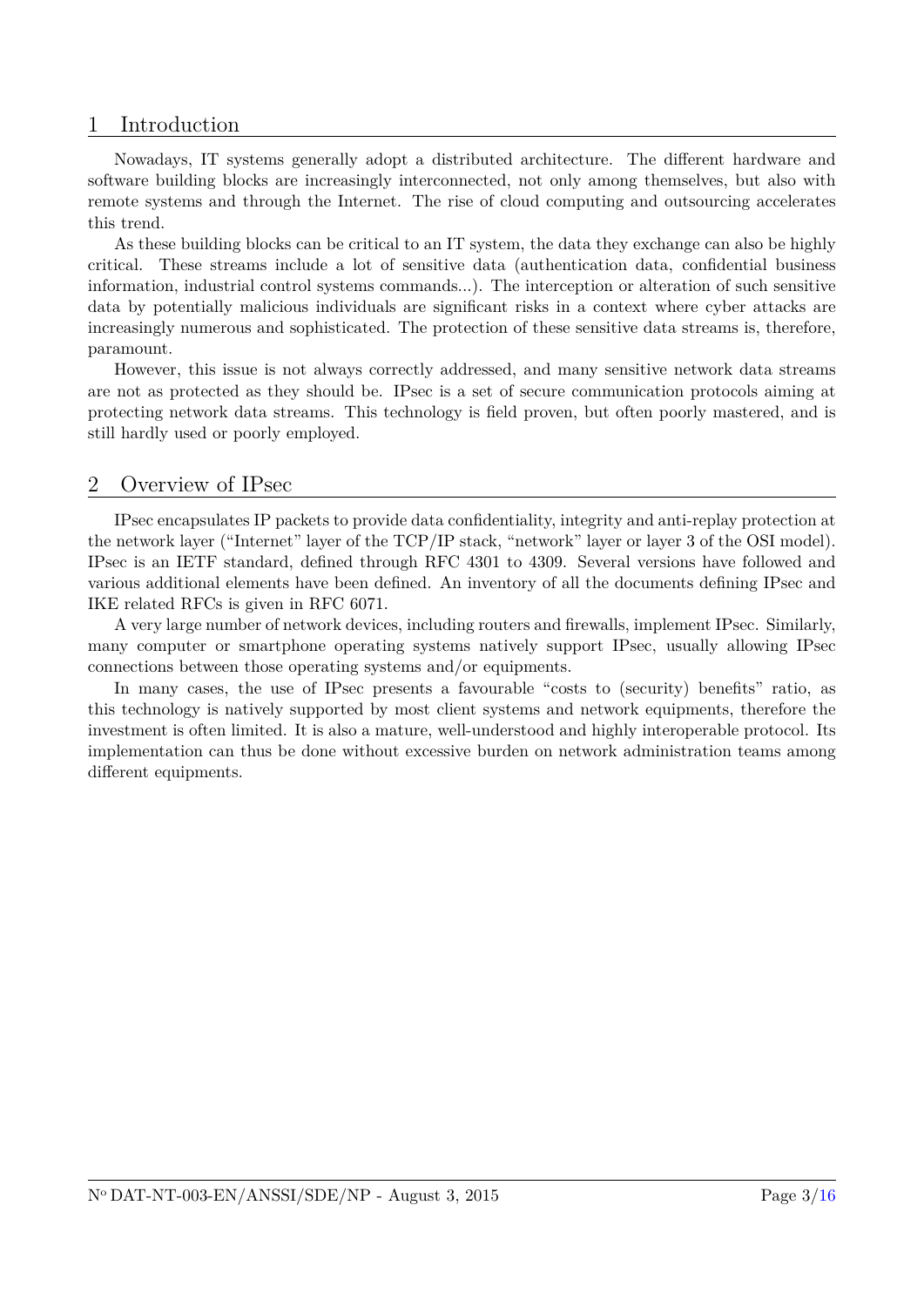## <span id="page-3-0"></span>1 Introduction

Nowadays, IT systems generally adopt a distributed architecture. The different hardware and software building blocks are increasingly interconnected, not only among themselves, but also with remote systems and through the Internet. The rise of cloud computing and outsourcing accelerates this trend.

As these building blocks can be critical to an IT system, the data they exchange can also be highly critical. These streams include a lot of sensitive data (authentication data, confidential business information, industrial control systems commands...). The interception or alteration of such sensitive data by potentially malicious individuals are significant risks in a context where cyber attacks are increasingly numerous and sophisticated. The protection of these sensitive data streams is, therefore, paramount.

However, this issue is not always correctly addressed, and many sensitive network data streams are not as protected as they should be. IPsec is a set of secure communication protocols aiming at protecting network data streams. This technology is field proven, but often poorly mastered, and is still hardly used or poorly employed.

## <span id="page-3-1"></span>2 Overview of IPsec

IPsec encapsulates IP packets to provide data confidentiality, integrity and anti-replay protection at the network layer ("Internet" layer of the TCP/IP stack, "network" layer or layer 3 of the OSI model). IPsec is an IETF standard, defined through RFC 4301 to 4309. Several versions have followed and various additional elements have been defined. An inventory of all the documents defining IPsec and IKE related RFCs is given in RFC 6071.

A very large number of network devices, including routers and firewalls, implement IPsec. Similarly, many computer or smartphone operating systems natively support IPsec, usually allowing IPsec connections between those operating systems and/or equipments.

In many cases, the use of IPsec presents a favourable "costs to (security) benefits" ratio, as this technology is natively supported by most client systems and network equipments, therefore the investment is often limited. It is also a mature, well-understood and highly interoperable protocol. Its implementation can thus be done without excessive burden on network administration teams among different equipments.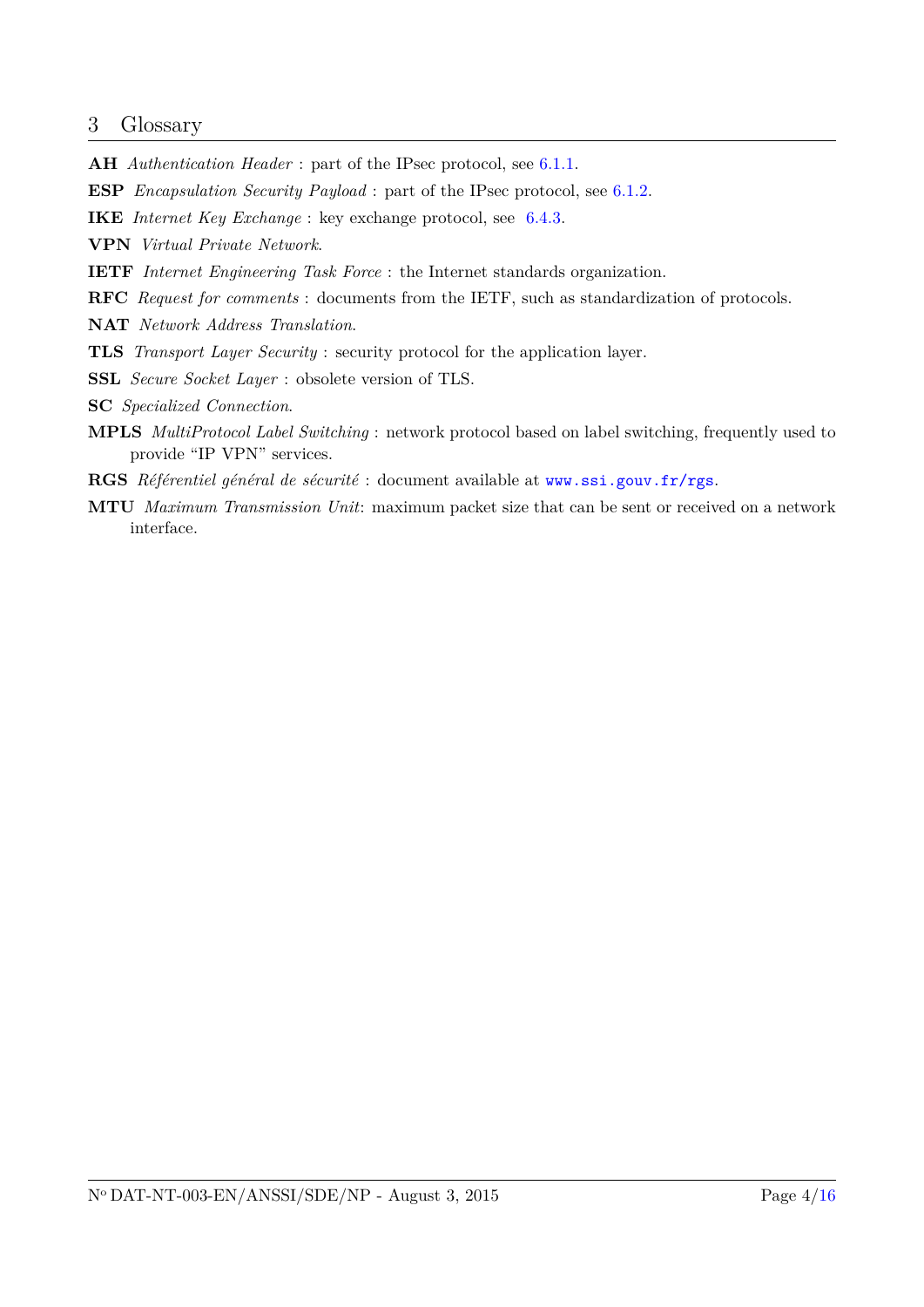## <span id="page-4-0"></span>3 Glossary

**AH** *Authentication Header* : part of the IPsec protocol, see [6.1.1.](#page-9-2)

**ESP** *Encapsulation Security Payload* : part of the IPsec protocol, see [6.1.2.](#page-9-3)

- **IKE** *Internet Key Exchange* : key exchange protocol, see [6.4.3.](#page-13-1)
- **VPN** *Virtual Private Network*.
- **IETF** *Internet Engineering Task Force* : the Internet standards organization.
- **RFC** *Request for comments* : documents from the IETF, such as standardization of protocols.
- **NAT** *Network Address Translation*.
- **TLS** *Transport Layer Security* : security protocol for the application layer.
- **SSL** *Secure Socket Layer* : obsolete version of TLS.
- **SC** *Specialized Connection*.
- **MPLS** *MultiProtocol Label Switching* : network protocol based on label switching, frequently used to provide "IP VPN" services.
- **RGS** *Référentiel général de sécurité* : document available at <www.ssi.gouv.fr/rgs>.
- **MTU** *Maximum Transmission Unit*: maximum packet size that can be sent or received on a network interface.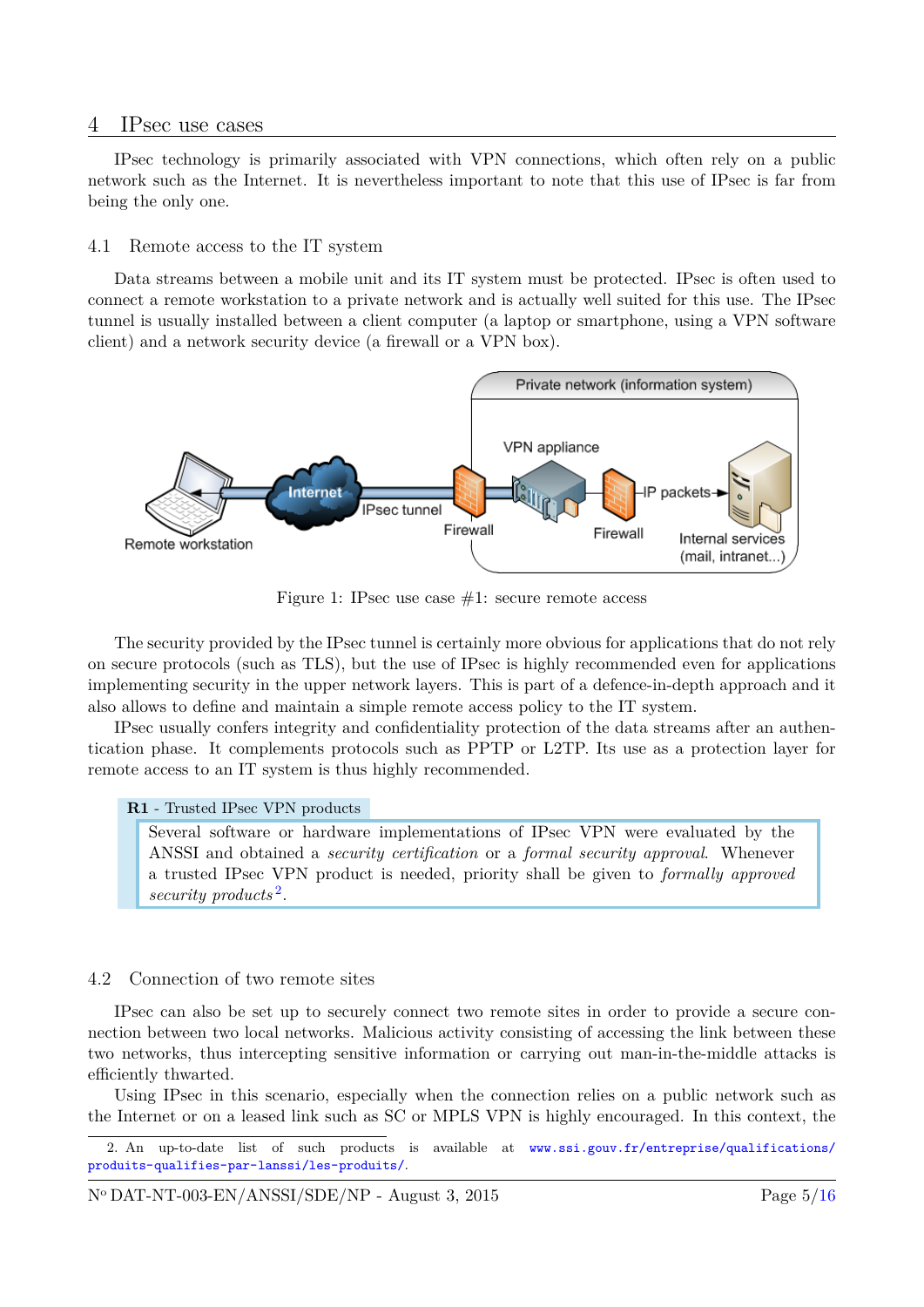## <span id="page-5-0"></span>4 IPsec use cases

IPsec technology is primarily associated with VPN connections, which often rely on a public network such as the Internet. It is nevertheless important to note that this use of IPsec is far from being the only one.

#### <span id="page-5-1"></span>4.1 Remote access to the IT system

Data streams between a mobile unit and its IT system must be protected. IPsec is often used to connect a remote workstation to a private network and is actually well suited for this use. The IPsec tunnel is usually installed between a client computer (a laptop or smartphone, using a VPN software client) and a network security device (a firewall or a VPN box).



Figure 1: IPsec use case  $#1$ : secure remote access

The security provided by the IPsec tunnel is certainly more obvious for applications that do not rely on secure protocols (such as TLS), but the use of IPsec is highly recommended even for applications implementing security in the upper network layers. This is part of a defence-in-depth approach and it also allows to define and maintain a simple remote access policy to the IT system.

IPsec usually confers integrity and confidentiality protection of the data streams after an authentication phase. It complements protocols such as PPTP or L2TP. Its use as a protection layer for remote access to an IT system is thus highly recommended.

#### <span id="page-5-4"></span>**R1** - Trusted IPsec VPN products

Several software or hardware implementations of IPsec VPN were evaluated by the ANSSI and obtained a *security certification* or a *formal security approval*. Whenever a trusted IPsec VPN product is needed, priority shall be given to *formally approved security products* [2](#page-5-3) .

#### <span id="page-5-2"></span>4.2 Connection of two remote sites

IPsec can also be set up to securely connect two remote sites in order to provide a secure connection between two local networks. Malicious activity consisting of accessing the link between these two networks, thus intercepting sensitive information or carrying out man-in-the-middle attacks is efficiently thwarted.

Using IPsec in this scenario, especially when the connection relies on a public network such as the Internet or on a leased link such as SC or MPLS VPN is highly encouraged. In this context, the

<span id="page-5-3"></span><sup>2.</sup> An up-to-date list of such products is available at [www.ssi.gouv.fr/entreprise/qualifications/](www.ssi.gouv.fr/entreprise/qualifications/produits-qualifies-par-lanssi/les-produits/) [produits-qualifies-par-lanssi/les-produits/](www.ssi.gouv.fr/entreprise/qualifications/produits-qualifies-par-lanssi/les-produits/).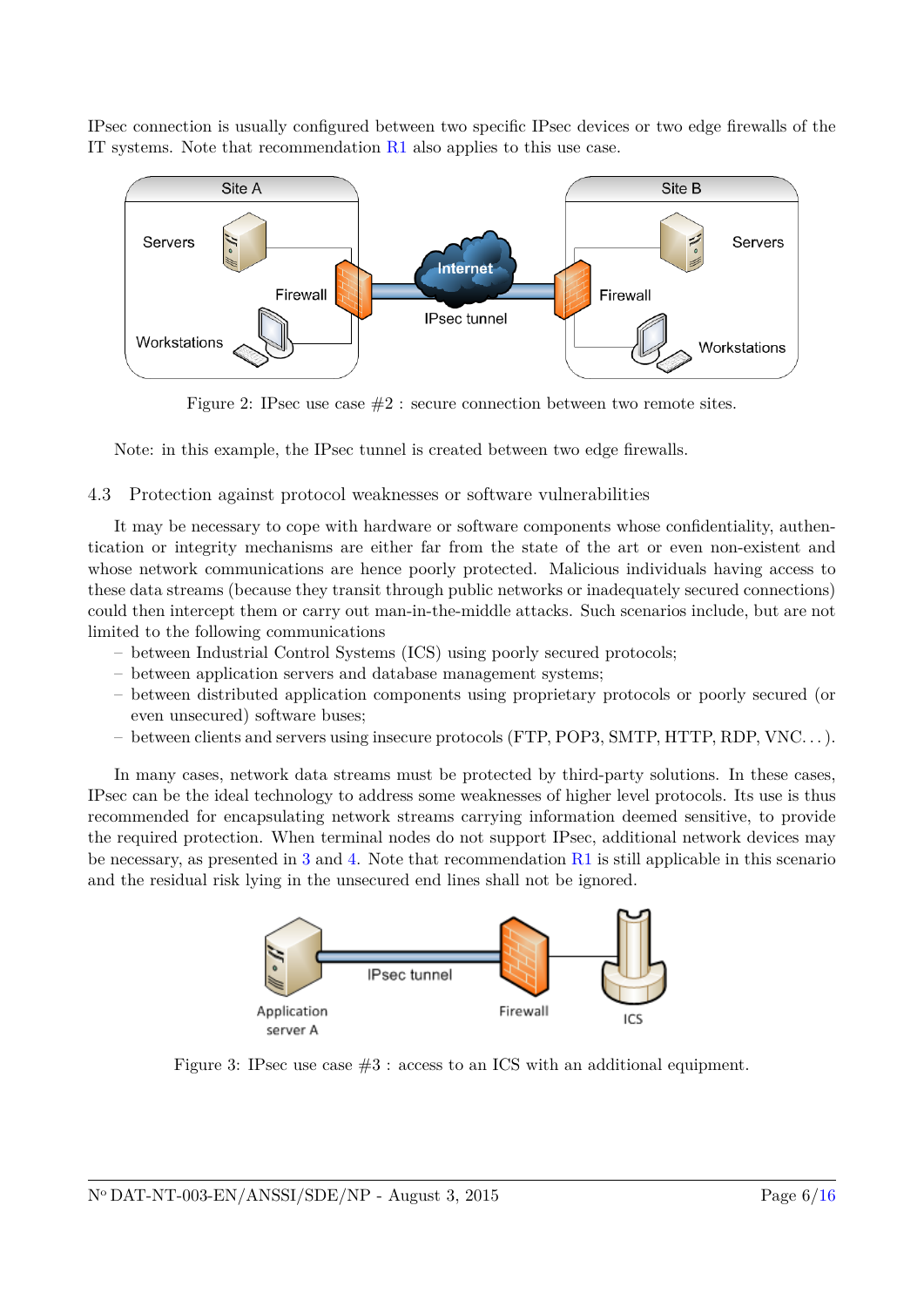IPsec connection is usually configured between two specific IPsec devices or two edge firewalls of the IT systems. Note that recommendation [R1](#page-5-4) also applies to this use case.



Figure 2: IPsec use case  $#2$ : secure connection between two remote sites.

Note: in this example, the IPsec tunnel is created between two edge firewalls.

## <span id="page-6-0"></span>4.3 Protection against protocol weaknesses or software vulnerabilities

It may be necessary to cope with hardware or software components whose confidentiality, authentication or integrity mechanisms are either far from the state of the art or even non-existent and whose network communications are hence poorly protected. Malicious individuals having access to these data streams (because they transit through public networks or inadequately secured connections) could then intercept them or carry out man-in-the-middle attacks. Such scenarios include, but are not limited to the following communications

- between Industrial Control Systems (ICS) using poorly secured protocols;
- between application servers and database management systems;
- between distributed application components using proprietary protocols or poorly secured (or even unsecured) software buses;
- between clients and servers using insecure protocols (FTP, POP3, SMTP, HTTP, RDP, VNC. . . ).

<span id="page-6-1"></span>In many cases, network data streams must be protected by third-party solutions. In these cases, IPsec can be the ideal technology to address some weaknesses of higher level protocols. Its use is thus recommended for encapsulating network streams carrying information deemed sensitive, to provide the required protection. When terminal nodes do not support IPsec, additional network devices may be necessary, as presented in [3](#page-6-1) and [4.](#page-7-1) Note that recommendation [R1](#page-5-4) is still applicable in this scenario and the residual risk lying in the unsecured end lines shall not be ignored.



Figure 3: IPsec use case #3 : access to an ICS with an additional equipment.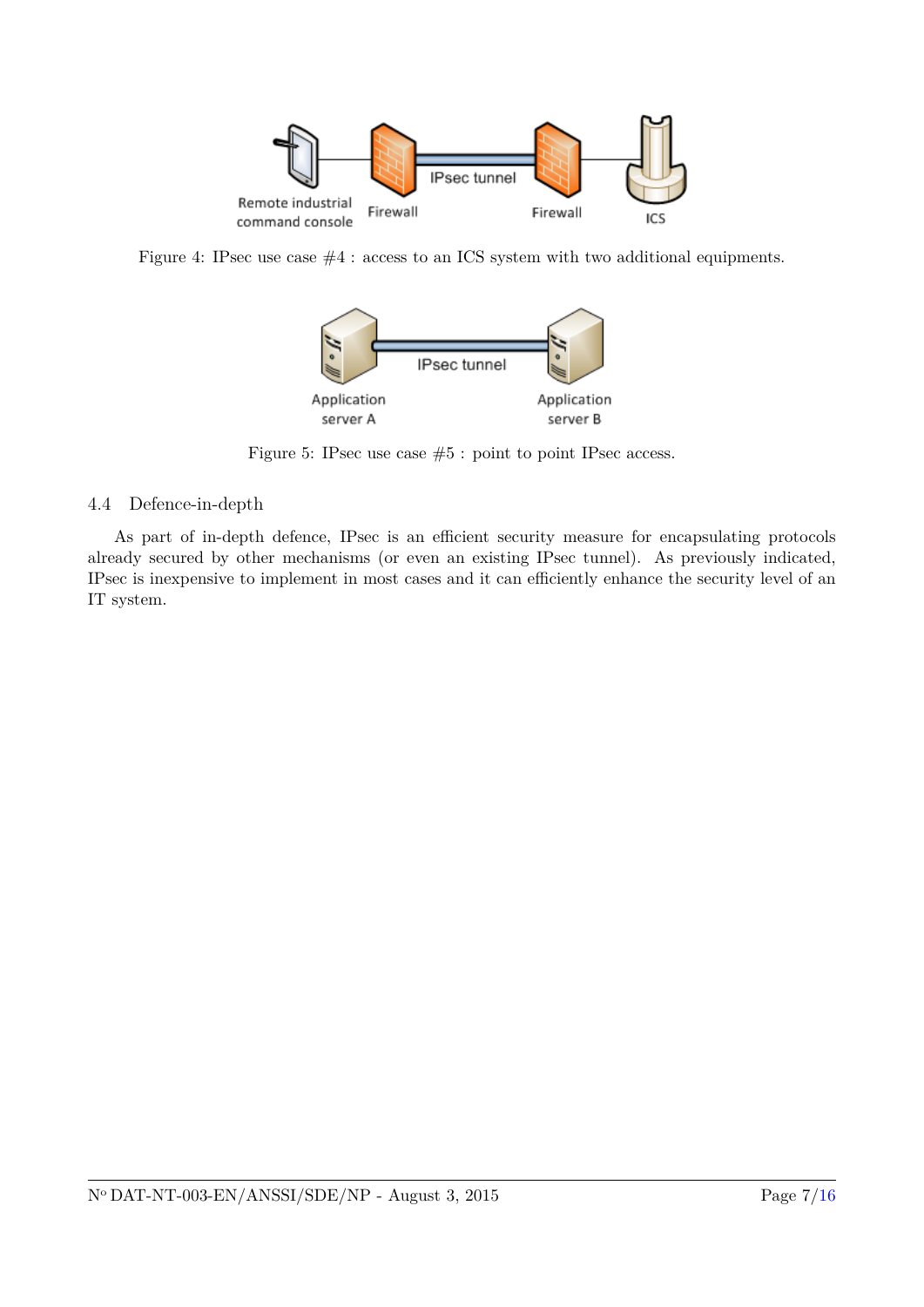<span id="page-7-1"></span>

Figure 4: IPsec use case  $#4$  : access to an ICS system with two additional equipments.



Figure 5: IPsec use case #5 : point to point IPsec access.

## <span id="page-7-0"></span>4.4 Defence-in-depth

As part of in-depth defence, IPsec is an efficient security measure for encapsulating protocols already secured by other mechanisms (or even an existing IPsec tunnel). As previously indicated, IPsec is inexpensive to implement in most cases and it can efficiently enhance the security level of an IT system.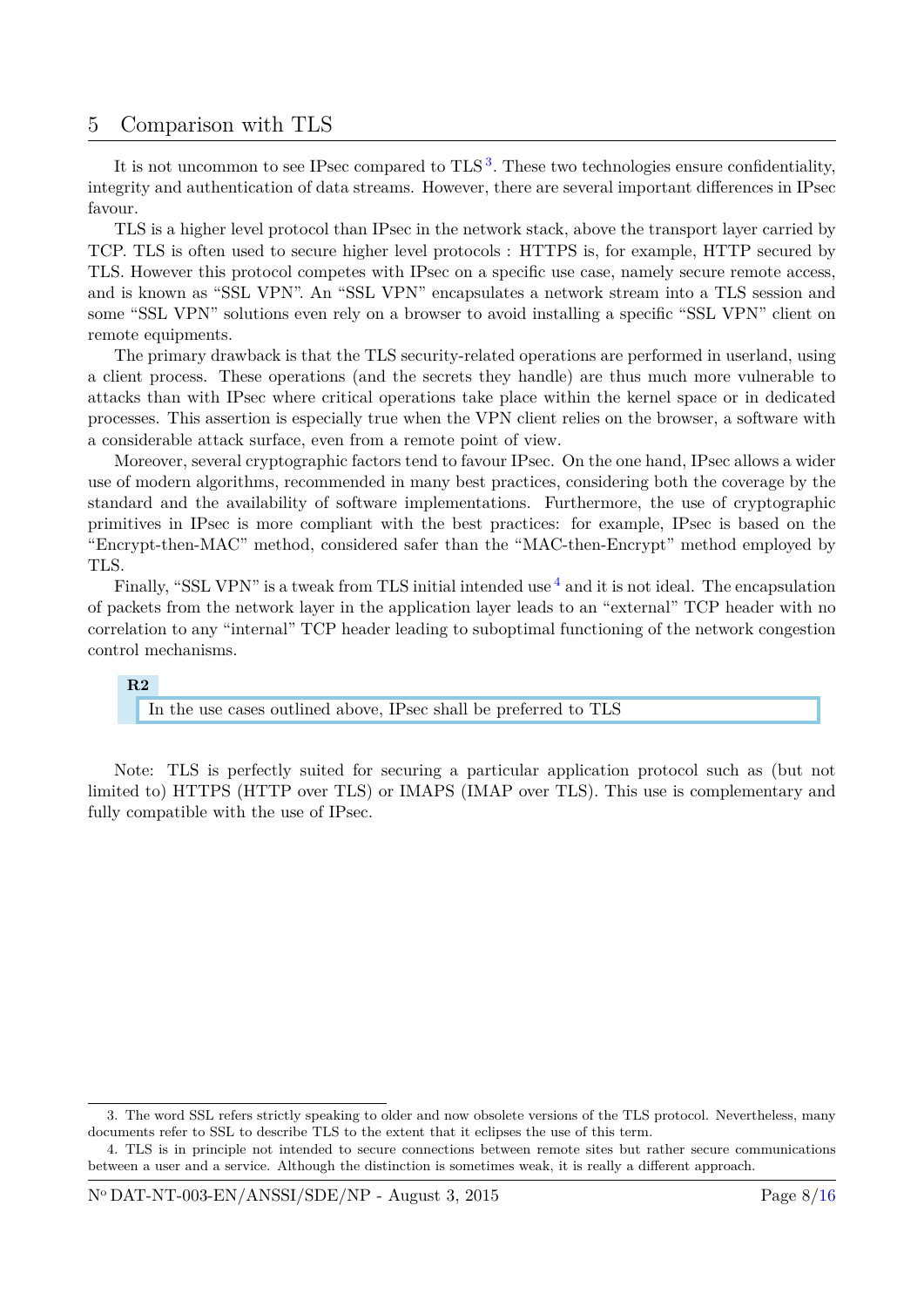## <span id="page-8-0"></span>5 Comparison with TLS

It is not uncommon to see IPsec compared to TLS<sup>[3](#page-8-1)</sup>. These two technologies ensure confidentiality, integrity and authentication of data streams. However, there are several important differences in IPsec favour.

TLS is a higher level protocol than IPsec in the network stack, above the transport layer carried by TCP. TLS is often used to secure higher level protocols : HTTPS is, for example, HTTP secured by TLS. However this protocol competes with IPsec on a specific use case, namely secure remote access, and is known as "SSL VPN". An "SSL VPN" encapsulates a network stream into a TLS session and some "SSL VPN" solutions even rely on a browser to avoid installing a specific "SSL VPN" client on remote equipments.

The primary drawback is that the TLS security-related operations are performed in userland, using a client process. These operations (and the secrets they handle) are thus much more vulnerable to attacks than with IPsec where critical operations take place within the kernel space or in dedicated processes. This assertion is especially true when the VPN client relies on the browser, a software with a considerable attack surface, even from a remote point of view.

Moreover, several cryptographic factors tend to favour IPsec. On the one hand, IPsec allows a wider use of modern algorithms, recommended in many best practices, considering both the coverage by the standard and the availability of software implementations. Furthermore, the use of cryptographic primitives in IPsec is more compliant with the best practices: for example, IPsec is based on the "Encrypt-then-MAC" method, considered safer than the "MAC-then-Encrypt" method employed by TLS.

Finally, "SSL VPN" is a tweak from TLS initial intended use  $<sup>4</sup>$  $<sup>4</sup>$  $<sup>4</sup>$  and it is not ideal. The encapsulation</sup> of packets from the network layer in the application layer leads to an "external" TCP header with no correlation to any "internal" TCP header leading to suboptimal functioning of the network congestion control mechanisms.

### **R2**

In the use cases outlined above, IPsec shall be preferred to TLS

Note: TLS is perfectly suited for securing a particular application protocol such as (but not limited to) HTTPS (HTTP over TLS) or IMAPS (IMAP over TLS). This use is complementary and fully compatible with the use of IPsec.

<span id="page-8-1"></span><sup>3.</sup> The word SSL refers strictly speaking to older and now obsolete versions of the TLS protocol. Nevertheless, many documents refer to SSL to describe TLS to the extent that it eclipses the use of this term.

<span id="page-8-2"></span><sup>4.</sup> TLS is in principle not intended to secure connections between remote sites but rather secure communications between a user and a service. Although the distinction is sometimes weak, it is really a different approach.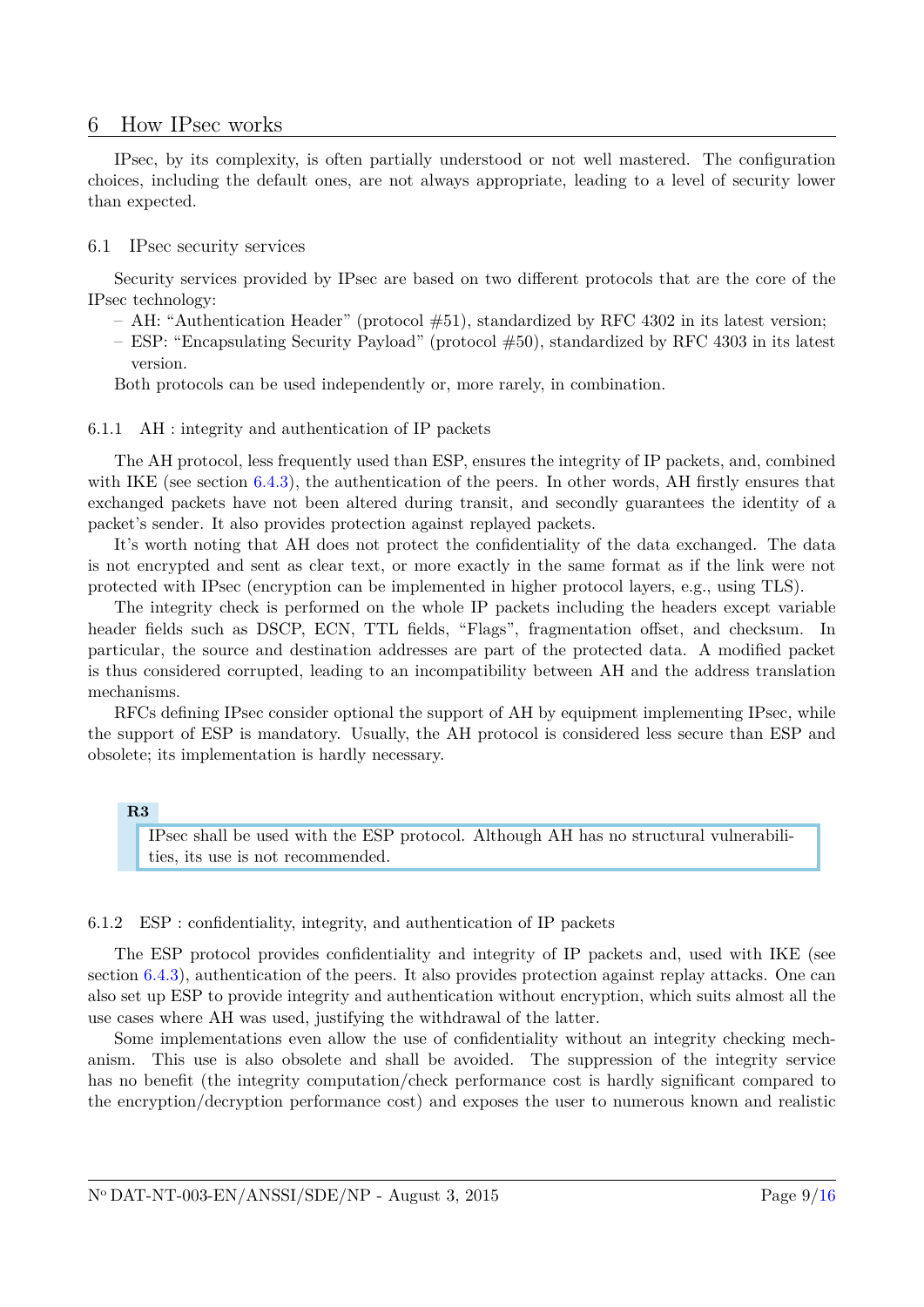### <span id="page-9-0"></span>6 How IPsec works

IPsec, by its complexity, is often partially understood or not well mastered. The configuration choices, including the default ones, are not always appropriate, leading to a level of security lower than expected.

#### <span id="page-9-1"></span>6.1 IPsec security services

Security services provided by IPsec are based on two different protocols that are the core of the IPsec technology:

- AH: "Authentication Header" (protocol #51), standardized by RFC 4302 in its latest version;
- ESP: "Encapsulating Security Payload" (protocol #50), standardized by RFC 4303 in its latest version.

Both protocols can be used independently or, more rarely, in combination.

#### <span id="page-9-2"></span>6.1.1 AH : integrity and authentication of IP packets

The AH protocol, less frequently used than ESP, ensures the integrity of IP packets, and, combined with IKE (see section  $6.4.3$ ), the authentication of the peers. In other words, AH firstly ensures that exchanged packets have not been altered during transit, and secondly guarantees the identity of a packet's sender. It also provides protection against replayed packets.

It's worth noting that AH does not protect the confidentiality of the data exchanged. The data is not encrypted and sent as clear text, or more exactly in the same format as if the link were not protected with IPsec (encryption can be implemented in higher protocol layers, e.g., using TLS).

The integrity check is performed on the whole IP packets including the headers except variable header fields such as DSCP, ECN, TTL fields, "Flags", fragmentation offset, and checksum. In particular, the source and destination addresses are part of the protected data. A modified packet is thus considered corrupted, leading to an incompatibility between AH and the address translation mechanisms.

RFCs defining IPsec consider optional the support of AH by equipment implementing IPsec, while the support of ESP is mandatory. Usually, the AH protocol is considered less secure than ESP and obsolete; its implementation is hardly necessary.

#### **R3**

IPsec shall be used with the ESP protocol. Although AH has no structural vulnerabilities, its use is not recommended.

### <span id="page-9-3"></span>6.1.2 ESP : confidentiality, integrity, and authentication of IP packets

The ESP protocol provides confidentiality and integrity of IP packets and, used with IKE (see section  $(6.4.3)$  $(6.4.3)$ , authentication of the peers. It also provides protection against replay attacks. One can also set up ESP to provide integrity and authentication without encryption, which suits almost all the use cases where AH was used, justifying the withdrawal of the latter.

Some implementations even allow the use of confidentiality without an integrity checking mechanism. This use is also obsolete and shall be avoided. The suppression of the integrity service has no benefit (the integrity computation/check performance cost is hardly significant compared to the encryption/decryption performance cost) and exposes the user to numerous known and realistic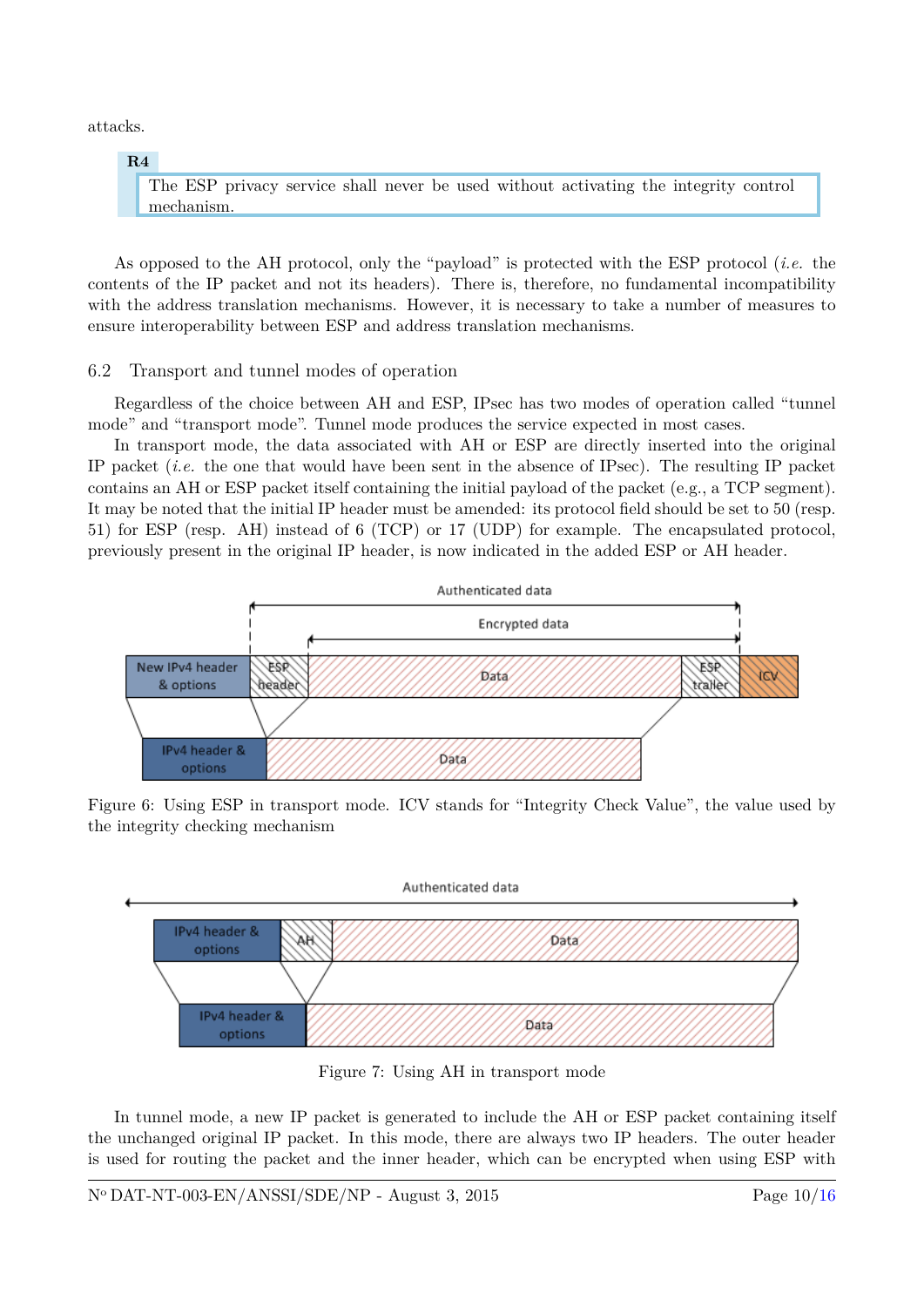attacks.

### **R4**

The ESP privacy service shall never be used without activating the integrity control mechanism.

As opposed to the AH protocol, only the "payload" is protected with the ESP protocol (*i.e.* the contents of the IP packet and not its headers). There is, therefore, no fundamental incompatibility with the address translation mechanisms. However, it is necessary to take a number of measures to ensure interoperability between ESP and address translation mechanisms.

### <span id="page-10-0"></span>6.2 Transport and tunnel modes of operation

Regardless of the choice between AH and ESP, IPsec has two modes of operation called "tunnel mode" and "transport mode". Tunnel mode produces the service expected in most cases.

In transport mode, the data associated with AH or ESP are directly inserted into the original IP packet (*i.e.* the one that would have been sent in the absence of IPsec). The resulting IP packet contains an AH or ESP packet itself containing the initial payload of the packet (e.g., a TCP segment). It may be noted that the initial IP header must be amended: its protocol field should be set to 50 (resp. 51) for ESP (resp. AH) instead of 6 (TCP) or 17 (UDP) for example. The encapsulated protocol, previously present in the original IP header, is now indicated in the added ESP or AH header.



Figure 6: Using ESP in transport mode. ICV stands for "Integrity Check Value", the value used by the integrity checking mechanism



Figure 7: Using AH in transport mode

In tunnel mode, a new IP packet is generated to include the AH or ESP packet containing itself the unchanged original IP packet. In this mode, there are always two IP headers. The outer header is used for routing the packet and the inner header, which can be encrypted when using ESP with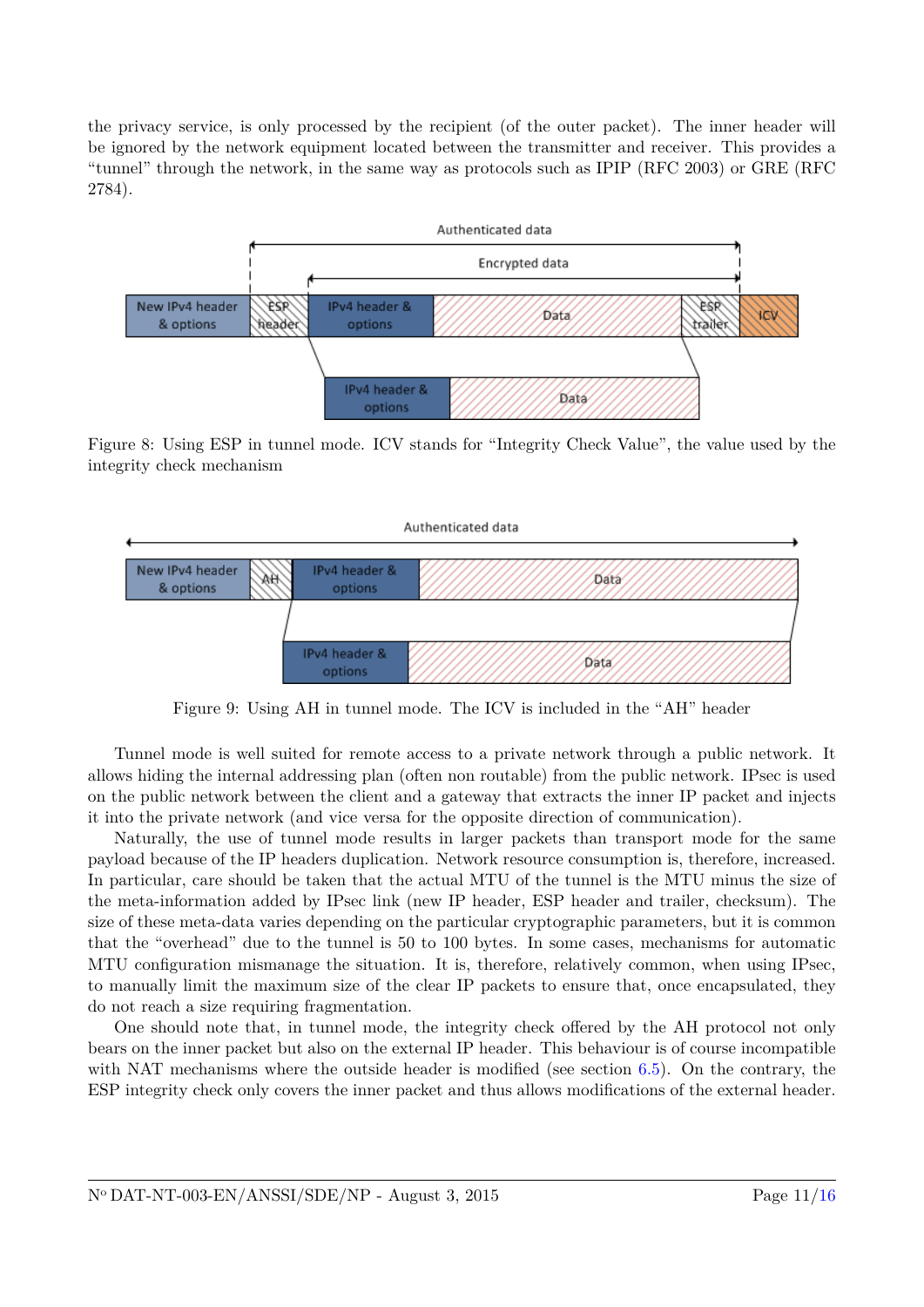the privacy service, is only processed by the recipient (of the outer packet). The inner header will be ignored by the network equipment located between the transmitter and receiver. This provides a "tunnel" through the network, in the same way as protocols such as IPIP (RFC 2003) or GRE (RFC 2784).



Figure 8: Using ESP in tunnel mode. ICV stands for "Integrity Check Value", the value used by the integrity check mechanism



Figure 9: Using AH in tunnel mode. The ICV is included in the "AH" header

Tunnel mode is well suited for remote access to a private network through a public network. It allows hiding the internal addressing plan (often non routable) from the public network. IPsec is used on the public network between the client and a gateway that extracts the inner IP packet and injects it into the private network (and vice versa for the opposite direction of communication).

Naturally, the use of tunnel mode results in larger packets than transport mode for the same payload because of the IP headers duplication. Network resource consumption is, therefore, increased. In particular, care should be taken that the actual MTU of the tunnel is the MTU minus the size of the meta-information added by IPsec link (new IP header, ESP header and trailer, checksum). The size of these meta-data varies depending on the particular cryptographic parameters, but it is common that the "overhead" due to the tunnel is 50 to 100 bytes. In some cases, mechanisms for automatic MTU configuration mismanage the situation. It is, therefore, relatively common, when using IPsec, to manually limit the maximum size of the clear IP packets to ensure that, once encapsulated, they do not reach a size requiring fragmentation.

One should note that, in tunnel mode, the integrity check offered by the AH protocol not only bears on the inner packet but also on the external IP header. This behaviour is of course incompatible with NAT mechanisms where the outside header is modified (see section  $6.5$ ). On the contrary, the ESP integrity check only covers the inner packet and thus allows modifications of the external header.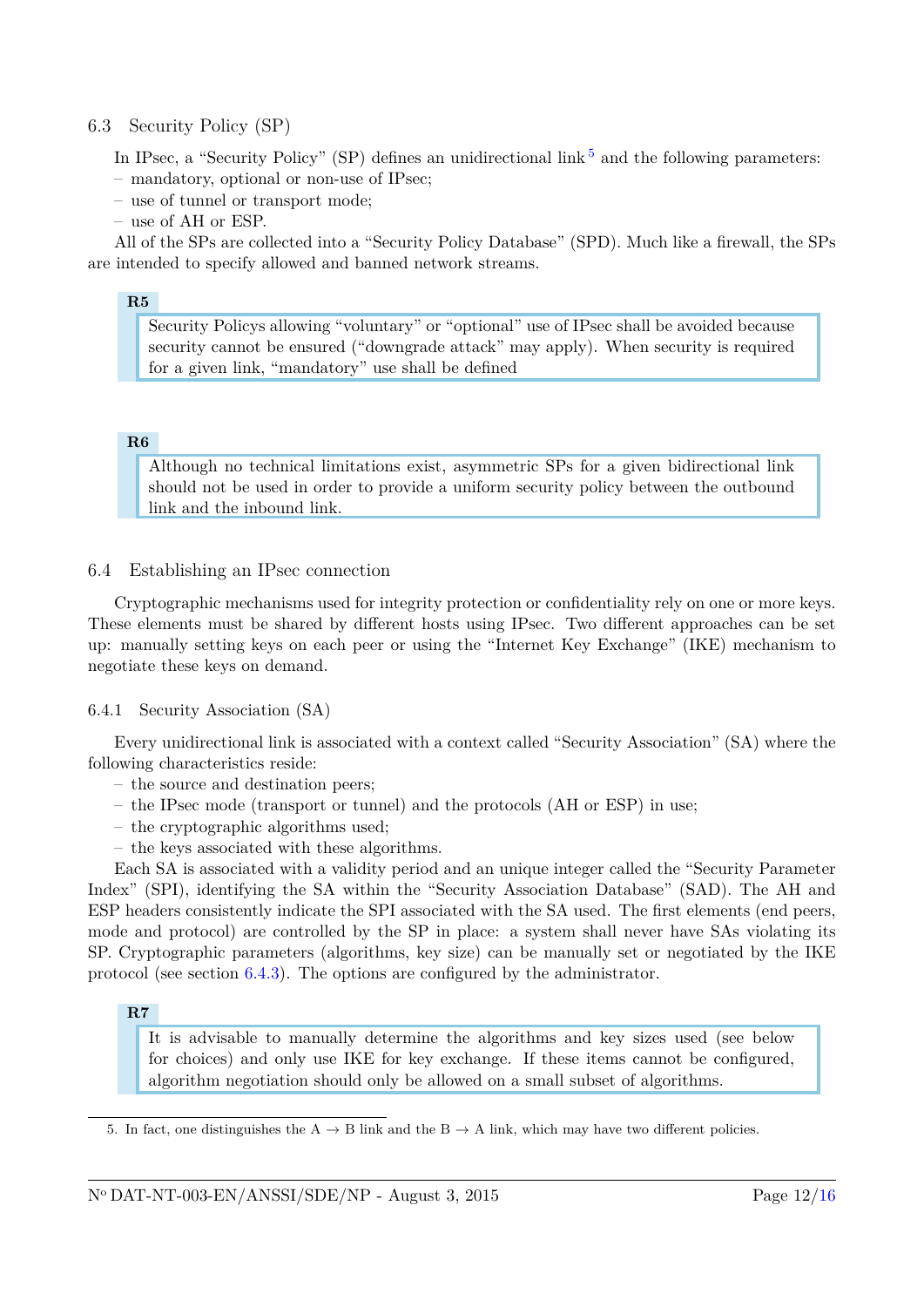### <span id="page-12-0"></span>6.3 Security Policy (SP)

In IPsec, a "Security Policy" (SP) defines an unidirectional link  $5$  and the following parameters:

- mandatory, optional or non-use of IPsec;
- use of tunnel or transport mode;
- use of AH or ESP.

All of the SPs are collected into a "Security Policy Database" (SPD). Much like a firewall, the SPs are intended to specify allowed and banned network streams.

### **R5**

Security Policys allowing "voluntary" or "optional" use of IPsec shall be avoided because security cannot be ensured ("downgrade attack" may apply). When security is required for a given link, "mandatory" use shall be defined

### **R6**

Although no technical limitations exist, asymmetric SPs for a given bidirectional link should not be used in order to provide a uniform security policy between the outbound link and the inbound link.

### <span id="page-12-1"></span>6.4 Establishing an IPsec connection

Cryptographic mechanisms used for integrity protection or confidentiality rely on one or more keys. These elements must be shared by different hosts using IPsec. Two different approaches can be set up: manually setting keys on each peer or using the "Internet Key Exchange" (IKE) mechanism to negotiate these keys on demand.

### <span id="page-12-2"></span>6.4.1 Security Association (SA)

Every unidirectional link is associated with a context called "Security Association" (SA) where the following characteristics reside:

- the source and destination peers;
- the IPsec mode (transport or tunnel) and the protocols (AH or ESP) in use;
- the cryptographic algorithms used;
- the keys associated with these algorithms.

Each SA is associated with a validity period and an unique integer called the "Security Parameter Index" (SPI), identifying the SA within the "Security Association Database" (SAD). The AH and ESP headers consistently indicate the SPI associated with the SA used. The first elements (end peers, mode and protocol) are controlled by the SP in place: a system shall never have SAs violating its SP. Cryptographic parameters (algorithms, key size) can be manually set or negotiated by the IKE protocol (see section [6.4.3\)](#page-13-1). The options are configured by the administrator.

#### **R7**

It is advisable to manually determine the algorithms and key sizes used (see below for choices) and only use IKE for key exchange. If these items cannot be configured, algorithm negotiation should only be allowed on a small subset of algorithms.

<span id="page-12-3"></span><sup>5.</sup> In fact, one distinguishes the A  $\rightarrow$  B link and the B  $\rightarrow$  A link, which may have two different policies.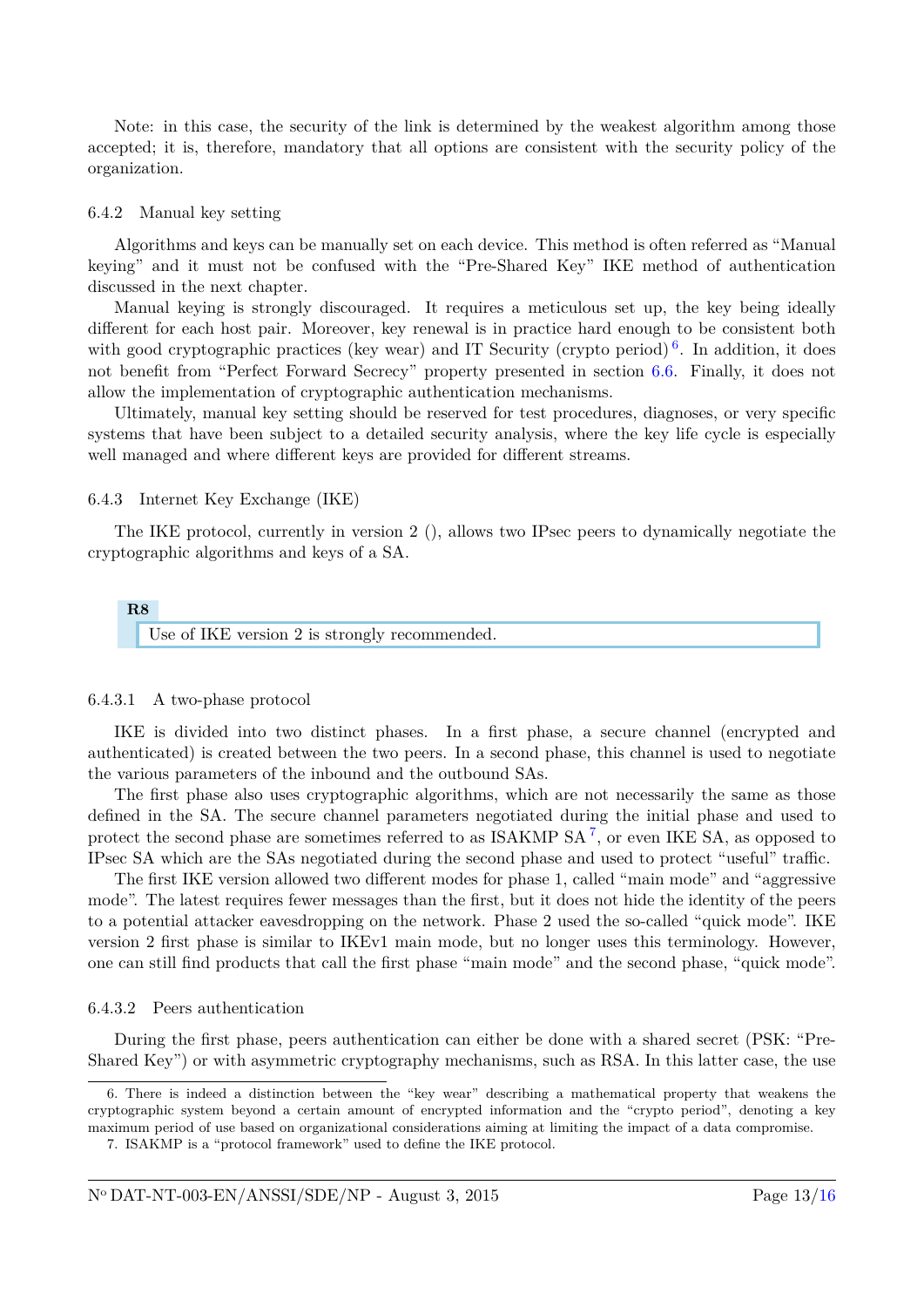Note: in this case, the security of the link is determined by the weakest algorithm among those accepted; it is, therefore, mandatory that all options are consistent with the security policy of the organization.

### <span id="page-13-0"></span>6.4.2 Manual key setting

Algorithms and keys can be manually set on each device. This method is often referred as "Manual keying" and it must not be confused with the "Pre-Shared Key" IKE method of authentication discussed in the next chapter.

Manual keying is strongly discouraged. It requires a meticulous set up, the key being ideally different for each host pair. Moreover, key renewal is in practice hard enough to be consistent both with good cryptographic practices (key wear) and IT Security (crypto period)<sup>[6](#page-13-4)</sup>. In addition, it does not benefit from "Perfect Forward Secrecy" property presented in section [6.6.](#page-15-0) Finally, it does not allow the implementation of cryptographic authentication mechanisms.

Ultimately, manual key setting should be reserved for test procedures, diagnoses, or very specific systems that have been subject to a detailed security analysis, where the key life cycle is especially well managed and where different keys are provided for different streams.

#### <span id="page-13-1"></span>6.4.3 Internet Key Exchange (IKE)

The IKE protocol, currently in version 2 (), allows two IPsec peers to dynamically negotiate the cryptographic algorithms and keys of a SA.

## **R8** Use of IKE version 2 is strongly recommended.

#### <span id="page-13-2"></span>6.4.3.1 A two-phase protocol

IKE is divided into two distinct phases. In a first phase, a secure channel (encrypted and authenticated) is created between the two peers. In a second phase, this channel is used to negotiate the various parameters of the inbound and the outbound SAs.

The first phase also uses cryptographic algorithms, which are not necessarily the same as those defined in the SA. The secure channel parameters negotiated during the initial phase and used to protect the second phase are sometimes referred to as  $ISAKMP SA^7$  $ISAKMP SA^7$ , or even IKE SA, as opposed to IPsec SA which are the SAs negotiated during the second phase and used to protect "useful" traffic.

The first IKE version allowed two different modes for phase 1, called "main mode" and "aggressive mode". The latest requires fewer messages than the first, but it does not hide the identity of the peers to a potential attacker eavesdropping on the network. Phase 2 used the so-called "quick mode". IKE version 2 first phase is similar to IKEv1 main mode, but no longer uses this terminology. However, one can still find products that call the first phase "main mode" and the second phase, "quick mode".

#### <span id="page-13-3"></span>6.4.3.2 Peers authentication

During the first phase, peers authentication can either be done with a shared secret (PSK: "Pre-Shared Key") or with asymmetric cryptography mechanisms, such as RSA. In this latter case, the use

<span id="page-13-4"></span><sup>6.</sup> There is indeed a distinction between the "key wear" describing a mathematical property that weakens the cryptographic system beyond a certain amount of encrypted information and the "crypto period", denoting a key maximum period of use based on organizational considerations aiming at limiting the impact of a data compromise.

<span id="page-13-5"></span><sup>7.</sup> ISAKMP is a "protocol framework" used to define the IKE protocol.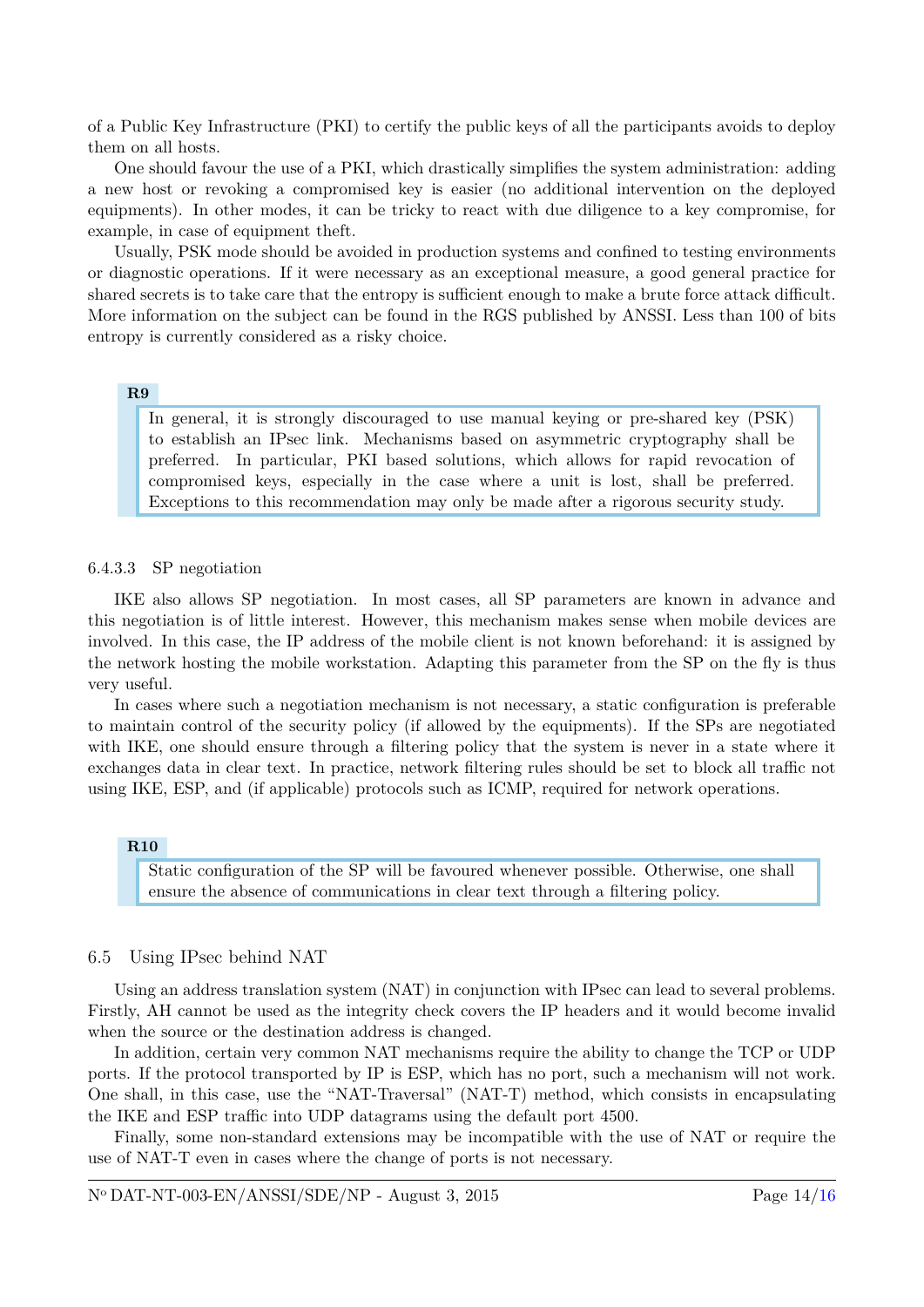of a Public Key Infrastructure (PKI) to certify the public keys of all the participants avoids to deploy them on all hosts.

One should favour the use of a PKI, which drastically simplifies the system administration: adding a new host or revoking a compromised key is easier (no additional intervention on the deployed equipments). In other modes, it can be tricky to react with due diligence to a key compromise, for example, in case of equipment theft.

Usually, PSK mode should be avoided in production systems and confined to testing environments or diagnostic operations. If it were necessary as an exceptional measure, a good general practice for shared secrets is to take care that the entropy is sufficient enough to make a brute force attack difficult. More information on the subject can be found in the RGS published by ANSSI. Less than 100 of bits entropy is currently considered as a risky choice.

#### **R9**

In general, it is strongly discouraged to use manual keying or pre-shared key (PSK) to establish an IPsec link. Mechanisms based on asymmetric cryptography shall be preferred. In particular, PKI based solutions, which allows for rapid revocation of compromised keys, especially in the case where a unit is lost, shall be preferred. Exceptions to this recommendation may only be made after a rigorous security study.

#### <span id="page-14-0"></span>6.4.3.3 SP negotiation

IKE also allows SP negotiation. In most cases, all SP parameters are known in advance and this negotiation is of little interest. However, this mechanism makes sense when mobile devices are involved. In this case, the IP address of the mobile client is not known beforehand: it is assigned by the network hosting the mobile workstation. Adapting this parameter from the SP on the fly is thus very useful.

In cases where such a negotiation mechanism is not necessary, a static configuration is preferable to maintain control of the security policy (if allowed by the equipments). If the SPs are negotiated with IKE, one should ensure through a filtering policy that the system is never in a state where it exchanges data in clear text. In practice, network filtering rules should be set to block all traffic not using IKE, ESP, and (if applicable) protocols such as ICMP, required for network operations.

#### **R10**

Static configuration of the SP will be favoured whenever possible. Otherwise, one shall ensure the absence of communications in clear text through a filtering policy.

#### <span id="page-14-1"></span>6.5 Using IPsec behind NAT

Using an address translation system (NAT) in conjunction with IPsec can lead to several problems. Firstly, AH cannot be used as the integrity check covers the IP headers and it would become invalid when the source or the destination address is changed.

In addition, certain very common NAT mechanisms require the ability to change the TCP or UDP ports. If the protocol transported by IP is ESP, which has no port, such a mechanism will not work. One shall, in this case, use the "NAT-Traversal" (NAT-T) method, which consists in encapsulating the IKE and ESP traffic into UDP datagrams using the default port 4500.

Finally, some non-standard extensions may be incompatible with the use of NAT or require the use of NAT-T even in cases where the change of ports is not necessary.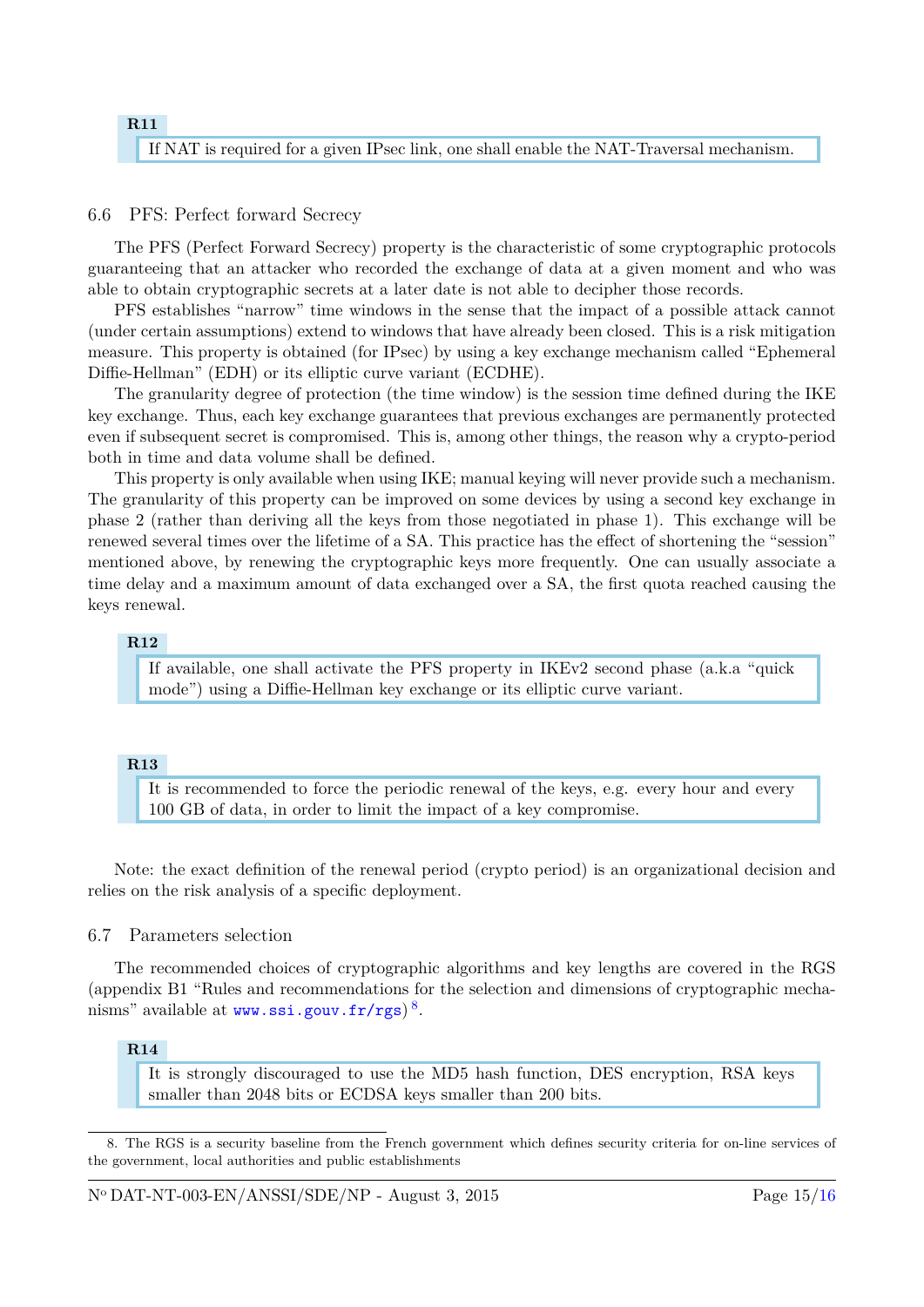# **R11** If NAT is required for a given IPsec link, one shall enable the NAT-Traversal mechanism.

### <span id="page-15-0"></span>6.6 PFS: Perfect forward Secrecy

The PFS (Perfect Forward Secrecy) property is the characteristic of some cryptographic protocols guaranteeing that an attacker who recorded the exchange of data at a given moment and who was able to obtain cryptographic secrets at a later date is not able to decipher those records.

PFS establishes "narrow" time windows in the sense that the impact of a possible attack cannot (under certain assumptions) extend to windows that have already been closed. This is a risk mitigation measure. This property is obtained (for IPsec) by using a key exchange mechanism called "Ephemeral Diffie-Hellman" (EDH) or its elliptic curve variant (ECDHE).

The granularity degree of protection (the time window) is the session time defined during the IKE key exchange. Thus, each key exchange guarantees that previous exchanges are permanently protected even if subsequent secret is compromised. This is, among other things, the reason why a crypto-period both in time and data volume shall be defined.

This property is only available when using IKE; manual keying will never provide such a mechanism. The granularity of this property can be improved on some devices by using a second key exchange in phase 2 (rather than deriving all the keys from those negotiated in phase 1). This exchange will be renewed several times over the lifetime of a SA. This practice has the effect of shortening the "session" mentioned above, by renewing the cryptographic keys more frequently. One can usually associate a time delay and a maximum amount of data exchanged over a SA, the first quota reached causing the keys renewal.

## **R12**

If available, one shall activate the PFS property in IKEv2 second phase (a.k.a "quick mode") using a Diffie-Hellman key exchange or its elliptic curve variant.

### **R13**

It is recommended to force the periodic renewal of the keys, e.g. every hour and every 100 GB of data, in order to limit the impact of a key compromise.

Note: the exact definition of the renewal period (crypto period) is an organizational decision and relies on the risk analysis of a specific deployment.

### <span id="page-15-1"></span>6.7 Parameters selection

The recommended choices of cryptographic algorithms and key lengths are covered in the RGS (appendix B1 "Rules and recommendations for the selection and dimensions of cryptographic mecha- $\mathrm{nisms}^n$  available at  $\mathsf{www.ssi.gouv.fr/rgs)}^8.$  $\mathsf{www.ssi.gouv.fr/rgs)}^8.$  $\mathsf{www.ssi.gouv.fr/rgs)}^8.$  $\mathsf{www.ssi.gouv.fr/rgs)}^8.$  $\mathsf{www.ssi.gouv.fr/rgs)}^8.$ 

### **R14**

It is strongly discouraged to use the MD5 hash function, DES encryption, RSA keys smaller than 2048 bits or ECDSA keys smaller than 200 bits.

<span id="page-15-2"></span><sup>8.</sup> The RGS is a security baseline from the French government which defines security criteria for on-line services of the government, local authorities and public establishments